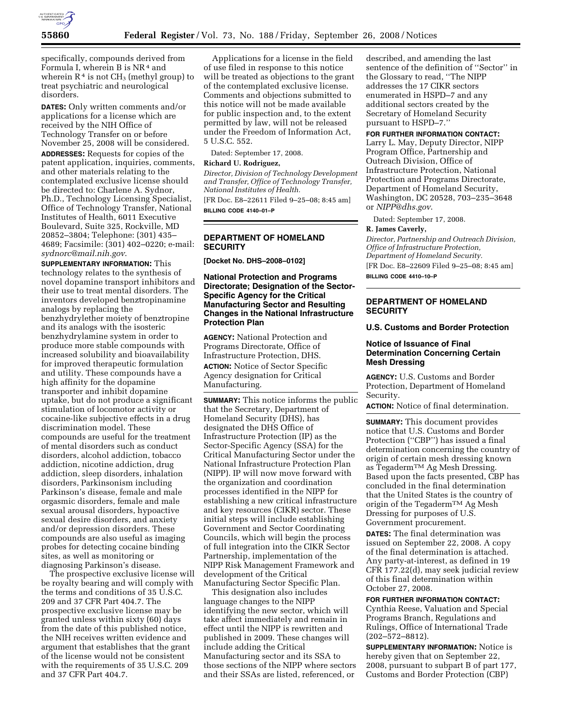

specifically, compounds derived from Formula I, wherein B is NR<sup>4</sup> and wherein  $R<sup>4</sup>$  is not CH<sub>3</sub> (methyl group) to treat psychiatric and neurological disorders.

**DATES:** Only written comments and/or applications for a license which are received by the NIH Office of Technology Transfer on or before November 25, 2008 will be considered. **ADDRESSES:** Requests for copies of the patent application, inquiries, comments, and other materials relating to the contemplated exclusive license should be directed to: Charlene A. Sydnor, Ph.D., Technology Licensing Specialist, Office of Technology Transfer, National Institutes of Health, 6011 Executive Boulevard, Suite 325, Rockville, MD 20852–3804; Telephone: (301) 435– 4689; Facsimile: (301) 402–0220; e-mail: *sydnorc@mail.nih.gov*.

**SUPPLEMENTARY INFORMATION:** This technology relates to the synthesis of novel dopamine transport inhibitors and their use to treat mental disorders. The inventors developed benztropinamine analogs by replacing the benzhydrylether moiety of benztropine and its analogs with the isosteric benzhydrylamine system in order to produce more stable compounds with increased solubility and bioavailability for improved therapeutic formulation and utility. These compounds have a high affinity for the dopamine transporter and inhibit dopamine uptake, but do not produce a significant stimulation of locomotor activity or cocaine-like subjective effects in a drug discrimination model. These compounds are useful for the treatment of mental disorders such as conduct disorders, alcohol addiction, tobacco addiction, nicotine addiction, drug addiction, sleep disorders, inhalation disorders, Parkinsonism including Parkinson's disease, female and male orgasmic disorders, female and male sexual arousal disorders, hypoactive sexual desire disorders, and anxiety and/or depression disorders. These compounds are also useful as imaging probes for detecting cocaine binding sites, as well as monitoring or diagnosing Parkinson's disease.

The prospective exclusive license will be royalty bearing and will comply with the terms and conditions of 35 U.S.C. 209 and 37 CFR Part 404.7. The prospective exclusive license may be granted unless within sixty (60) days from the date of this published notice, the NIH receives written evidence and argument that establishes that the grant of the license would not be consistent with the requirements of 35 U.S.C. 209 and 37 CFR Part 404.7.

Applications for a license in the field of use filed in response to this notice will be treated as objections to the grant of the contemplated exclusive license. Comments and objections submitted to this notice will not be made available for public inspection and, to the extent permitted by law, will not be released under the Freedom of Information Act, 5 U.S.C. 552.

Dated: September 17, 2008.

#### **Richard U. Rodriguez,**

*Director, Division of Technology Development and Transfer, Office of Technology Transfer, National Institutes of Health.* 

[FR Doc. E8–22611 Filed 9–25–08; 8:45 am] **BILLING CODE 4140–01–P** 

## **DEPARTMENT OF HOMELAND SECURITY**

**[Docket No. DHS–2008–0102]** 

# **National Protection and Programs Directorate; Designation of the Sector-Specific Agency for the Critical Manufacturing Sector and Resulting Changes in the National Infrastructure Protection Plan**

**AGENCY:** National Protection and Programs Directorate, Office of Infrastructure Protection, DHS.

**ACTION:** Notice of Sector Specific Agency designation for Critical Manufacturing.

**SUMMARY:** This notice informs the public that the Secretary, Department of Homeland Security (DHS), has designated the DHS Office of Infrastructure Protection (IP) as the Sector-Specific Agency (SSA) for the Critical Manufacturing Sector under the National Infrastructure Protection Plan (NIPP). IP will now move forward with the organization and coordination processes identified in the NIPP for establishing a new critical infrastructure and key resources (CIKR) sector. These initial steps will include establishing Government and Sector Coordinating Councils, which will begin the process of full integration into the CIKR Sector Partnership, implementation of the NIPP Risk Management Framework and development of the Critical Manufacturing Sector Specific Plan.

This designation also includes language changes to the NIPP identifying the new sector, which will take affect immediately and remain in effect until the NIPP is rewritten and published in 2009. These changes will include adding the Critical Manufacturing sector and its SSA to those sections of the NIPP where sectors and their SSAs are listed, referenced, or

described, and amending the last sentence of the definition of ''Sector'' in the Glossary to read, ''The NIPP addresses the 17 CIKR sectors enumerated in HSPD–7 and any additional sectors created by the Secretary of Homeland Security pursuant to HSPD–7.''

#### **FOR FURTHER INFORMATION CONTACT:**

Larry L. May, Deputy Director, NIPP Program Office, Partnership and Outreach Division, Office of Infrastructure Protection, National Protection and Programs Directorate, Department of Homeland Security, Washington, DC 20528, 703–235–3648 or *NIPP@dhs.gov*.

Dated: September 17, 2008.

### **R. James Caverly,**

*Director, Partnership and Outreach Division, Office of Infrastructure Protection, Department of Homeland Security.*  [FR Doc. E8–22609 Filed 9–25–08; 8:45 am] **BILLING CODE 4410–10–P** 

# **DEPARTMENT OF HOMELAND SECURITY**

## **U.S. Customs and Border Protection**

# **Notice of Issuance of Final Determination Concerning Certain Mesh Dressing**

**AGENCY:** U.S. Customs and Border Protection, Department of Homeland Security.

**ACTION:** Notice of final determination.

**SUMMARY:** This document provides notice that U.S. Customs and Border Protection ("CBP") has issued a final determination concerning the country of origin of certain mesh dressing known as TegadermTM Ag Mesh Dressing. Based upon the facts presented, CBP has concluded in the final determination that the United States is the country of origin of the Tegaderm<sup>TM</sup> Ag Mesh Dressing for purposes of U.S. Government procurement.

**DATES:** The final determination was issued on September 22, 2008. A copy of the final determination is attached. Any party-at-interest, as defined in 19 CFR 177.22(d), may seek judicial review of this final determination within October 27, 2008.

### **FOR FURTHER INFORMATION CONTACT:**

Cynthia Reese, Valuation and Special Programs Branch, Regulations and Rulings, Office of International Trade (202–572–8812).

**SUPPLEMENTARY INFORMATION:** Notice is hereby given that on September 22, 2008, pursuant to subpart B of part 177, Customs and Border Protection (CBP)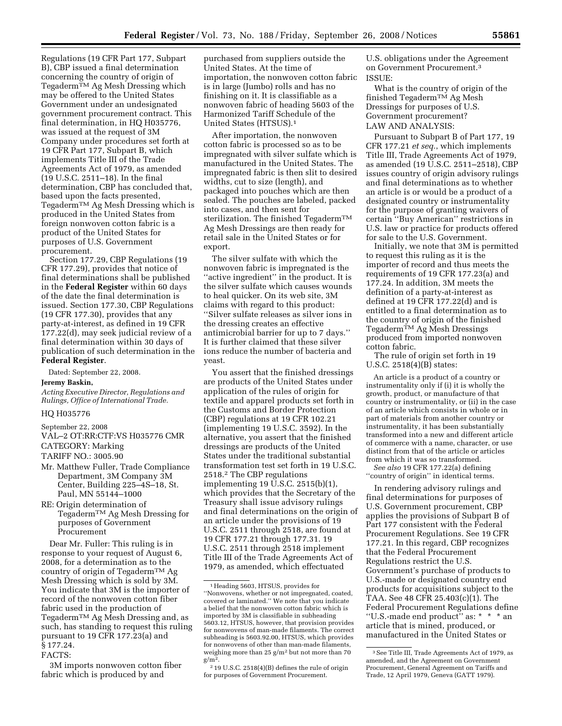Regulations (19 CFR Part 177, Subpart B), CBP issued a final determination concerning the country of origin of Tegaderm<sup>TM</sup> Ag Mesh Dressing which may be offered to the United States Government under an undesignated government procurement contract. This final determination, in HQ H035776, was issued at the request of 3M Company under procedures set forth at 19 CFR Part 177, Subpart B, which implements Title III of the Trade Agreements Act of 1979, as amended (19 U.S.C. 2511–18). In the final determination, CBP has concluded that, based upon the facts presented, TegadermTM Ag Mesh Dressing which is produced in the United States from foreign nonwoven cotton fabric is a product of the United States for purposes of U.S. Government procurement.

Section 177.29, CBP Regulations (19 CFR 177.29), provides that notice of final determinations shall be published in the **Federal Register** within 60 days of the date the final determination is issued. Section 177.30, CBP Regulations (19 CFR 177.30), provides that any party-at-interest, as defined in 19 CFR 177.22(d), may seek judicial review of a final determination within 30 days of publication of such determination in the **Federal Register**.

Dated: September 22, 2008.

# **Jeremy Baskin,**

*Acting Executive Director, Regulations and Rulings, Office of International Trade.* 

# HQ H035776

### September 22, 2008

- VAL–2 OT:RR:CTF:VS H035776 CMR CATEGORY: Marking
- TARIFF NO.: 3005.90
- Mr. Matthew Fuller, Trade Compliance Department, 3M Company 3M Center, Building 225–4S–18, St. Paul, MN 55144–1000
- RE: Origin determination of TegadermTM Ag Mesh Dressing for purposes of Government Procurement

Dear Mr. Fuller: This ruling is in response to your request of August 6, 2008, for a determination as to the country of origin of Tegaderm<sup>TM</sup> Ag Mesh Dressing which is sold by 3M. You indicate that 3M is the importer of record of the nonwoven cotton fiber fabric used in the production of TegadermTM Ag Mesh Dressing and, as such, has standing to request this ruling pursuant to 19 CFR 177.23(a) and § 177.24.

#### FACTS:

3M imports nonwoven cotton fiber fabric which is produced by and

purchased from suppliers outside the United States. At the time of importation, the nonwoven cotton fabric is in large (Jumbo) rolls and has no finishing on it. It is classifiable as a nonwoven fabric of heading 5603 of the Harmonized Tariff Schedule of the United States (HTSUS).1

After importation, the nonwoven cotton fabric is processed so as to be impregnated with silver sulfate which is manufactured in the United States. The impregnated fabric is then slit to desired widths, cut to size (length), and packaged into pouches which are then sealed. The pouches are labeled, packed into cases, and then sent for sterilization. The finished Tegaderm<sup>TM</sup> Ag Mesh Dressings are then ready for retail sale in the United States or for export.

The silver sulfate with which the nonwoven fabric is impregnated is the ''active ingredient'' in the product. It is the silver sulfate which causes wounds to heal quicker. On its web site, 3M claims with regard to this product: ''Silver sulfate releases as silver ions in the dressing creates an effective antimicrobial barrier for up to 7 days.'' It is further claimed that these silver ions reduce the number of bacteria and yeast.

You assert that the finished dressings are products of the United States under application of the rules of origin for textile and apparel products set forth in the Customs and Border Protection (CBP) regulations at 19 CFR 102.21 (implementing 19 U.S.C. 3592). In the alternative, you assert that the finished dressings are products of the United States under the traditional substantial transformation test set forth in 19 U.S.C. 2518.2 The CBP regulations implementing 19 U.S.C. 2515(b)(1), which provides that the Secretary of the Treasury shall issue advisory rulings and final determinations on the origin of an article under the provisions of 19 U.S.C. 2511 through 2518, are found at 19 CFR 177.21 through 177.31. 19 U.S.C. 2511 through 2518 implement Title III of the Trade Agreements Act of 1979, as amended, which effectuated

U.S. obligations under the Agreement on Government Procurement.3 ISSUE:

What is the country of origin of the finished Tegaderm<sup>TM</sup> Ag Mesh Dressings for purposes of U.S. Government procurement? LAW AND ANALYSIS:

Pursuant to Subpart B of Part 177, 19 CFR 177.21 *et seq.*, which implements Title III, Trade Agreements Act of 1979, as amended (19 U.S.C. 2511–2518), CBP issues country of origin advisory rulings and final determinations as to whether an article is or would be a product of a designated country or instrumentality for the purpose of granting waivers of certain ''Buy American'' restrictions in U.S. law or practice for products offered for sale to the U.S. Government.

Initially, we note that 3M is permitted to request this ruling as it is the importer of record and thus meets the requirements of 19 CFR 177.23(a) and 177.24. In addition, 3M meets the definition of a party-at-interest as defined at 19 CFR 177.22(d) and is entitled to a final determination as to the country of origin of the finished TegadermTM Ag Mesh Dressings produced from imported nonwoven cotton fabric.

The rule of origin set forth in 19 U.S.C. 2518(4)(B) states:

An article is a product of a country or instrumentality only if (i) it is wholly the growth, product, or manufacture of that country or instrumentality, or (ii) in the case of an article which consists in whole or in part of materials from another country or instrumentality, it has been substantially transformed into a new and different article of commerce with a name, character, or use distinct from that of the article or articles from which it was so transformed.

*See also* 19 CFR 177.22(a) defining "country of origin" in identical terms.

In rendering advisory rulings and final determinations for purposes of U.S. Government procurement, CBP applies the provisions of Subpart B of Part 177 consistent with the Federal Procurement Regulations. See 19 CFR 177.21. In this regard, CBP recognizes that the Federal Procurement Regulations restrict the U.S. Government's purchase of products to U.S.-made or designated country end products for acquisitions subject to the TAA. See 48 CFR 25.403(c)(1). The Federal Procurement Regulations define ''U.S.-made end product'' as: \* \* \* an article that is mined, produced, or manufactured in the United States or

<sup>1</sup>Heading 5603, HTSUS, provides for ''Nonwovens, whether or not impregnated, coated, covered or laminated.'' We note that you indicate a belief that the nonwoven cotton fabric which is imported by 3M is classifiable in subheading 5603.12, HTSUS, however, that provision provides for nonwovens of man-made filaments. The correct subheading is 5603.92.00, HTSUS, which provides for nonwovens of other than man-made filaments, weighing more than 25 g/m2 but not more than 70  $g/m^2$ .

<sup>2</sup> 19 U.S.C. 2518(4)(B) defines the rule of origin for purposes of Government Procurement.

<sup>3</sup>See Title III, Trade Agreements Act of 1979, as amended, and the Agreement on Government Procurement, General Agreement on Tariffs and Trade, 12 April 1979, Geneva (GATT 1979).